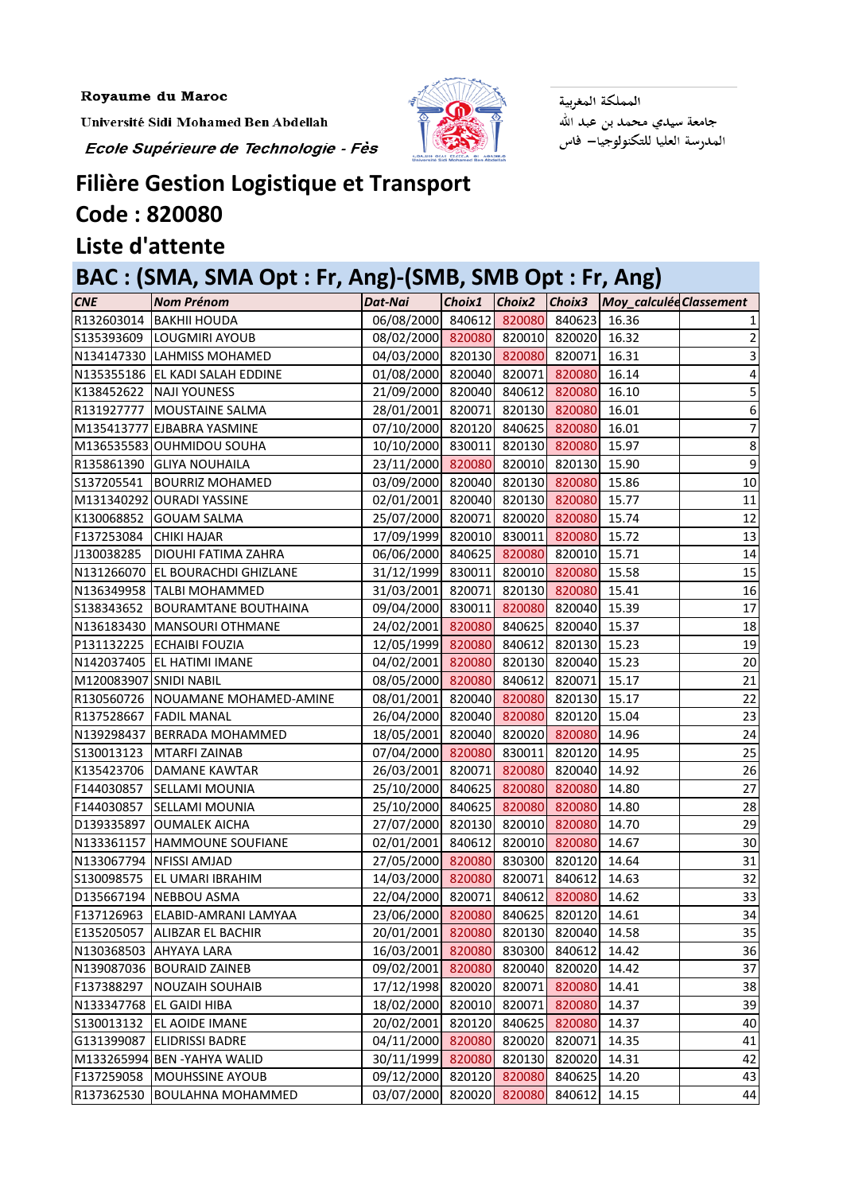Royaume du Maroc

Université Sidi Mohamed Ben Abdellah

Ecole Supérieure de Technologie - Fès



المملكة المغربية جامعة سيدي محمد بن عبد الله المدرسة العليا للتكنولوجيا— فاس

## **Filière Gestion Logistique et Transport**

## **Code : 820080**

## **Liste d'attente**

## **BAC : (SMA, SMA Opt : Fr, Ang)-(SMB, SMB Opt : Fr, Ang)**

| <b>CNE</b>             | <b>Nom Prénom</b>                 | Dat-Nai                               | Choix1 |        |                     | Choix2 Choix3 Moy_calculéd Classement |                 |
|------------------------|-----------------------------------|---------------------------------------|--------|--------|---------------------|---------------------------------------|-----------------|
| R132603014             | <b>BAKHII HOUDA</b>               | 06/08/2000 840612 820080 840623 16.36 |        |        |                     |                                       |                 |
|                        | S135393609 LOUGMIRI AYOUB         | 08/02/2000 820080 820010 820020       |        |        |                     | 16.32                                 | $\overline{2}$  |
|                        | N134147330 LAHMISS MOHAMED        | 04/03/2000 820130 820080 820071       |        |        |                     | 16.31                                 |                 |
|                        | N135355186 EL KADI SALAH EDDINE   | 01/08/2000 820040 820071 820080       |        |        |                     | 16.14                                 | 4               |
|                        | K138452622 NAJI YOUNESS           | 21/09/2000 820040 840612 820080 16.10 |        |        |                     |                                       | 5               |
|                        | R131927777 MOUSTAINE SALMA        | 28/01/2001 820071 820130 820080       |        |        |                     | 16.01                                 | 6               |
|                        | M135413777 EJBABRA YASMINE        | 07/10/2000 820120 840625 820080       |        |        |                     | 16.01                                 | 7               |
|                        | M136535583 OUHMIDOU SOUHA         | 10/10/2000 830011 820130 820080 15.97 |        |        |                     |                                       | 8               |
|                        | R135861390 GLIYA NOUHAILA         | 23/11/2000 820080 820010 820130 15.90 |        |        |                     |                                       | 9               |
| S137205541             | <b>BOURRIZ MOHAMED</b>            | 03/09/2000 820040 820130 820080 15.86 |        |        |                     |                                       | 10              |
|                        | M131340292 OURADI YASSINE         | 02/01/2001 820040 820130 820080       |        |        |                     | 15.77                                 | 11              |
| K130068852             | <b>GOUAM SALMA</b>                | 25/07/2000 820071 820020 820080       |        |        |                     | 15.74                                 | 12              |
| F137253084             | <b>CHIKI HAJAR</b>                | 17/09/1999 820010 830011 820080 15.72 |        |        |                     |                                       | 13              |
| J130038285             | <b>DIOUHI FATIMA ZAHRA</b>        | 06/06/2000 840625 820080 820010 15.71 |        |        |                     |                                       | 14              |
|                        | N131266070 EL BOURACHDI GHIZLANE  | 31/12/1999 830011 820010 820080 15.58 |        |        |                     |                                       | 15              |
|                        | N136349958 TALBI MOHAMMED         | 31/03/2001 820071 820130 820080       |        |        |                     | 15.41                                 | 16              |
| S138343652             | <b>BOURAMTANE BOUTHAINA</b>       | 09/04/2000 830011 820080 820040 15.39 |        |        |                     |                                       | 17              |
|                        | N136183430 MANSOURI OTHMANE       | 24/02/2001 820080 840625 820040 15.37 |        |        |                     |                                       | 18              |
|                        | P131132225 ECHAIBI FOUZIA         | 12/05/1999 820080 840612 820130 15.23 |        |        |                     |                                       | 19              |
|                        | N142037405 EL HATIMI IMANE        | 04/02/2001 820080 820130 820040 15.23 |        |        |                     |                                       | 20              |
| M120083907 SNIDI NABIL |                                   | 08/05/2000 820080 840612 820071       |        |        |                     | 15.17                                 | 21              |
|                        | R130560726 NOUAMANE MOHAMED-AMINE | 08/01/2001 820040 820080 820130       |        |        |                     | 15.17                                 | 22              |
|                        | R137528667 FADIL MANAL            | 26/04/2000 820040 820080 820120       |        |        |                     | 15.04                                 | 23              |
|                        | N139298437 BERRADA MOHAMMED       | 18/05/2001 820040 820020 820080       |        |        |                     | 14.96                                 | 24              |
| S130013123             | MTARFI ZAINAB                     | 07/04/2000 820080 830011 820120 14.95 |        |        |                     |                                       | 25              |
| K135423706             | DAMANE KAWTAR                     | 26/03/2001 820071 820080 820040       |        |        |                     | 14.92                                 | 26              |
| F144030857             | <b>SELLAMI MOUNIA</b>             | 25/10/2000 840625 820080 820080       |        |        |                     | 14.80                                 | 27              |
| F144030857             | <b>SELLAMI MOUNIA</b>             | 25/10/2000 840625 820080 820080       |        |        |                     | 14.80                                 | 28              |
|                        | D139335897 OUMALEK AICHA          | 27/07/2000 820130 820010 820080       |        |        |                     | 14.70                                 | 29              |
|                        | N133361157 HAMMOUNE SOUFIANE      | 02/01/2001 840612 820010 820080 14.67 |        |        |                     |                                       | 30 <sup>1</sup> |
|                        | N133067794 NFISSI AMJAD           | 27/05/2000 820080                     |        |        | 830300 820120 14.64 |                                       | 31              |
| S130098575             | <b>EL UMARI IBRAHIM</b>           | 14/03/2000 820080                     |        |        | 820071 840612       | 14.63                                 | 32              |
| D135667194             | NEBBOU ASMA                       | 22/04/2000 820071                     |        |        | 840612 820080       | 14.62                                 | 33              |
| F137126963             | ELABID-AMRANI LAMYAA              | 23/06/2000 820080                     |        |        | 840625 820120       | 14.61                                 | 34              |
| E135205057             | <b>ALIBZAR EL BACHIR</b>          | 20/01/2001 820080                     |        |        | 820130 820040       | 14.58                                 | 35              |
| N130368503             | <b>AHYAYA LARA</b>                | 16/03/2001                            | 820080 |        | 830300 840612       | 14.42                                 | 36              |
|                        | N139087036 BOURAID ZAINEB         | 09/02/2001 820080                     |        |        | 820040 820020       | 14.42                                 | 37              |
| F137388297             | <b>NOUZAIH SOUHAIB</b>            | 17/12/1998                            | 820020 |        | 820071 820080       | 14.41                                 | 38              |
| N133347768             | <b>EL GAIDI HIBA</b>              | 18/02/2000                            | 820010 |        | 820071 820080       | 14.37                                 | 39              |
| S130013132             | <b>EL AOIDE IMANE</b>             | 20/02/2001                            | 820120 |        | 840625 820080       | 14.37                                 | 40              |
| G131399087             | <b>ELIDRISSI BADRE</b>            | 04/11/2000 820080                     |        |        | 820020 820071       | 14.35                                 | 41              |
|                        | M133265994 BEN -YAHYA WALID       | 30/11/1999 820080                     |        |        | 820130 820020       | 14.31                                 | 42              |
| F137259058             | <b>MOUHSSINE AYOUB</b>            | 09/12/2000                            | 820120 | 820080 | 840625              | 14.20                                 | 43              |
| R137362530             | <b>BOULAHNA MOHAMMED</b>          | 03/07/2000                            | 820020 | 820080 | 840612              | 14.15                                 | 44              |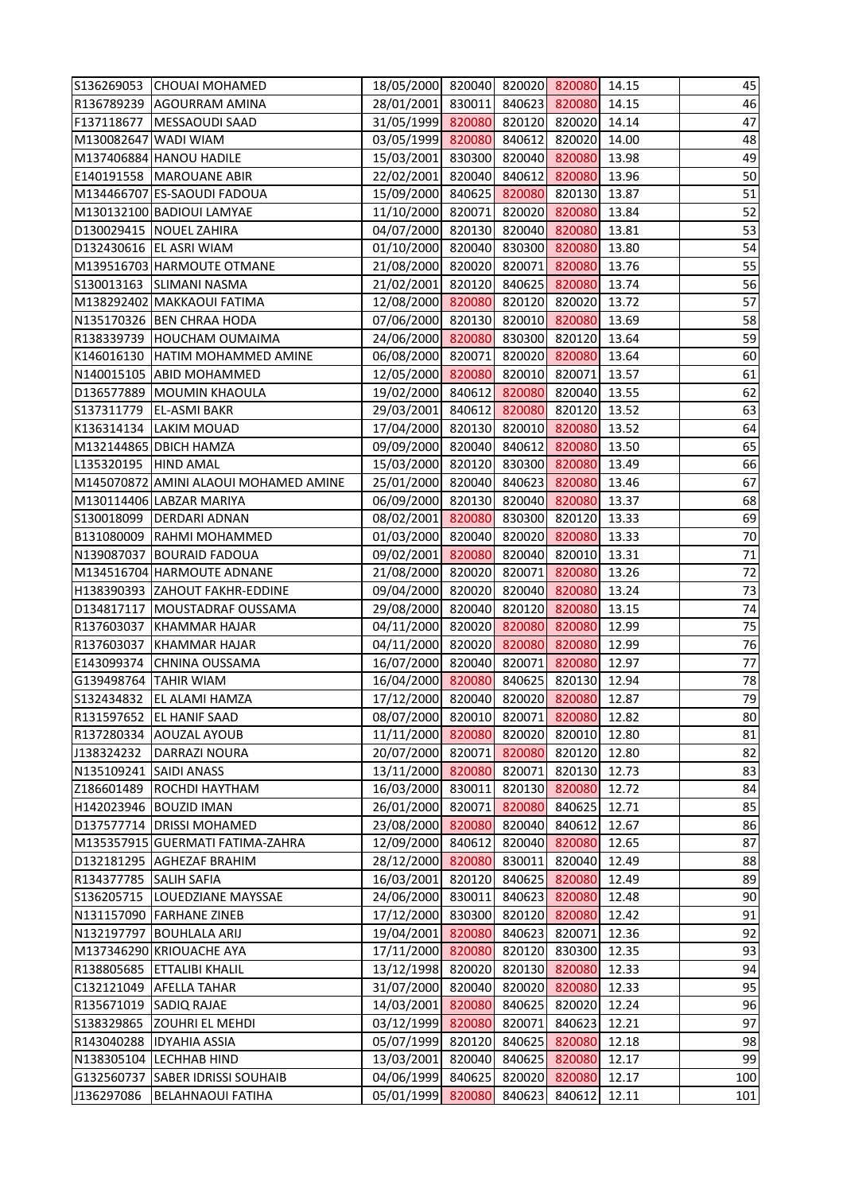|                       | S136269053 CHOUAI MOHAMED                          | 18/05/2000 820040 820020 820080 14.15 |        |        |                                |                | 45              |
|-----------------------|----------------------------------------------------|---------------------------------------|--------|--------|--------------------------------|----------------|-----------------|
|                       | R136789239 AGOURRAM AMINA                          | 28/01/2001 830011 840623 820080       |        |        |                                | 14.15          | 46              |
| F137118677            | MESSAOUDI SAAD                                     | 31/05/1999 820080 820120 820020       |        |        |                                | 14.14          | 47              |
| M130082647 WADI WIAM  |                                                    | 03/05/1999 820080                     |        |        | 840612 820020                  | 14.00          | 48              |
|                       | M137406884 HANOU HADILE                            | 15/03/2001 830300 820040 820080       |        |        |                                | 13.98          | 49              |
|                       | E140191558   MAROUANE ABIR                         | 22/02/2001 820040 840612 820080       |        |        |                                | 13.96          | 50              |
|                       | M134466707 ES-SAOUDI FADOUA                        | 15/09/2000 840625 820080 820130       |        |        |                                | 13.87          | $\overline{51}$ |
|                       | M130132100 BADIOUI LAMYAE                          | 11/10/2000 820071                     |        |        | 820020 820080                  | 13.84          | 52              |
|                       | D130029415 NOUEL ZAHIRA                            | 04/07/2000 820130 820040 820080       |        |        |                                | 13.81          | 53              |
|                       | D132430616 EL ASRI WIAM                            | 01/10/2000 820040 830300 820080       |        |        |                                | 13.80          | 54              |
|                       | M139516703 HARMOUTE OTMANE                         | 21/08/2000 820020 820071 820080       |        |        |                                | 13.76          | 55              |
|                       | S130013163 SLIMANI NASMA                           | 21/02/2001 820120 840625 820080 13.74 |        |        |                                |                | 56              |
|                       | M138292402 MAKKAOUI FATIMA                         | 12/08/2000 820080                     |        |        | 820120 820020                  | 13.72          | 57              |
|                       | N135170326 BEN CHRAA HODA                          | 07/06/2000 820130 820010 820080       |        |        |                                | 13.69          | 58              |
|                       | R138339739 HOUCHAM OUMAIMA                         | 24/06/2000 820080 830300 820120 13.64 |        |        |                                |                | 59              |
|                       | K146016130 HATIM MOHAMMED AMINE                    | 06/08/2000 820071 820020 820080       |        |        |                                | 13.64          | 60              |
|                       | N140015105 ABID MOHAMMED                           | 12/05/2000 820080 820010 820071       |        |        |                                | 13.57          | 61              |
|                       | D136577889 MOUMIN KHAOULA                          | 19/02/2000 840612 820080 820040       |        |        |                                | 13.55          | 62              |
| S137311779            | <b>EL-ASMI BAKR</b>                                | 29/03/2001 840612 820080 820120       |        |        |                                | 13.52          | 63              |
|                       | K136314134 LAKIM MOUAD                             | 17/04/2000 820130 820010 820080       |        |        |                                | 13.52          | 64              |
|                       | M132144865 DBICH HAMZA                             | 09/09/2000 820040 840612 820080       |        |        |                                | 13.50          | 65              |
| L135320195  HIND AMAL |                                                    | 15/03/2000 820120 830300 820080       |        |        |                                | 13.49          | 66              |
|                       | M145070872 AMINI ALAOUI MOHAMED AMINE              | 25/01/2000 820040                     |        |        | 840623 820080                  | 13.46          | 67              |
|                       | M130114406 LABZAR MARIYA                           | 06/09/2000 820130 820040 820080       |        |        |                                | 13.37          | 68              |
|                       | S130018099   DERDARI ADNAN                         | 08/02/2001 820080 830300 820120       |        |        |                                | 13.33          | 69              |
|                       | B131080009 RAHMI MOHAMMED                          | 01/03/2000 820040 820020 820080       |        |        |                                | 13.33          | $70\,$          |
|                       | N139087037 BOURAID FADOUA                          | 09/02/2001 820080 820040 820010       |        |        |                                | 13.31          | 71              |
|                       | M134516704 HARMOUTE ADNANE                         | 21/08/2000 820020 820071 820080       |        |        |                                | 13.26          | $\frac{72}{73}$ |
|                       | H138390393 ZAHOUT FAKHR-EDDINE                     | 09/04/2000 820020 820040 820080       |        |        |                                | 13.24          |                 |
|                       | D134817117   MOUSTADRAF OUSSAMA                    | 29/08/2000 820040 820120 820080       |        |        |                                | 13.15          | 74              |
|                       | R137603037 KHAMMAR HAJAR                           | 04/11/2000 820020 820080 820080       |        |        |                                | 12.99          | 75              |
|                       | R137603037 KHAMMAR HAJAR                           | 04/11/2000 820020 820080 820080       |        |        |                                | 12.99          | 76              |
| E143099374            | <b>CHNINA OUSSAMA</b>                              | 16/07/2000 820040 820071 820080       |        |        |                                | 12.97          | 77              |
| G139498764 TAHIR WIAM |                                                    | 16/04/2000 820080                     |        |        | 840625 820130                  | 12.94          | 78              |
| S132434832            | EL ALAMI HAMZA                                     | 17/12/2000 820040                     |        |        | 820020 820080                  | 12.87          | 79              |
| R131597652            | <b>EL HANIF SAAD</b>                               | 08/07/2000                            | 820010 | 820071 | 820080                         | 12.82          | 80              |
| R137280334            | <b>AOUZAL AYOUB</b>                                | 11/11/2000 820080                     |        |        | 820020 820010                  | 12.80          | 81              |
| J138324232            | <b>DARRAZI NOURA</b>                               | 20/07/2000 820071                     |        |        | 820080 820120                  | 12.80          | 82              |
| N135109241            | <b>SAIDI ANASS</b>                                 | 13/11/2000 820080                     |        |        | 820071 820130                  | 12.73          | 83              |
| Z186601489            | ROCHDI HAYTHAM                                     | 16/03/2000 830011                     |        |        | 820130 820080                  | 12.72          | 84              |
|                       | H142023946 BOUZID IMAN                             | 26/01/2000 820071                     |        |        | 820080 840625                  | 12.71          | 85              |
|                       | D137577714 DRISSI MOHAMED                          | 23/08/2000 820080                     |        |        | 820040 840612                  | 12.67          | 86              |
|                       | M135357915 GUERMATI FATIMA-ZAHRA                   | 12/09/2000 840612                     |        |        | 820040 820080                  | 12.65          | 87              |
|                       | D132181295 AGHEZAF BRAHIM                          | 28/12/2000 820080                     |        |        | 830011 820040                  | 12.49          | 88              |
| R134377785            | <b>SALIH SAFIA</b>                                 | 16/03/2001                            | 820120 |        | 840625 820080                  | 12.49          | 89              |
| S136205715            | LOUEDZIANE MAYSSAE                                 | 24/06/2000 830011                     |        |        | 840623 820080                  | 12.48          | 90              |
|                       | N131157090 FARHANE ZINEB                           | 17/12/2000 830300                     |        |        | 820120 820080                  | 12.42          | 91<br>92        |
| N132197797            | <b>BOUHLALA ARIJ</b>                               | 19/04/2001 820080                     |        | 840623 | 820071                         | 12.36          | 93              |
| R138805685            | M137346290 KRIOUACHE AYA<br><b>ETTALIBI KHALIL</b> | 17/11/2000 820080<br>13/12/1998       | 820020 |        | 820120 830300<br>820130 820080 | 12.35<br>12.33 | 94              |
| C132121049            | <b>AFELLA TAHAR</b>                                | 31/07/2000 820040                     |        |        | 820020 820080                  | 12.33          | 95              |
| R135671019            | <b>SADIQ RAJAE</b>                                 | 14/03/2001 820080                     |        |        | 840625 820020                  | 12.24          | 96              |
| S138329865            | <b>ZOUHRI EL MEHDI</b>                             | 03/12/1999 820080                     |        | 820071 | 840623                         | 12.21          | 97              |
| R143040288            | <b>IDYAHIA ASSIA</b>                               | 05/07/1999 820120                     |        |        | 840625 820080                  | 12.18          | 98              |
| N138305104            | <b>LECHHAB HIND</b>                                | 13/03/2001                            | 820040 |        | 840625 820080                  | 12.17          | 99              |
| G132560737            | <b>SABER IDRISSI SOUHAIB</b>                       | 04/06/1999 840625                     |        |        | 820020 820080                  | 12.17          | 100             |
| J136297086            | <b>BELAHNAOUI FATIHA</b>                           | 05/01/1999                            | 820080 | 840623 | 840612                         | 12.11          | 101             |